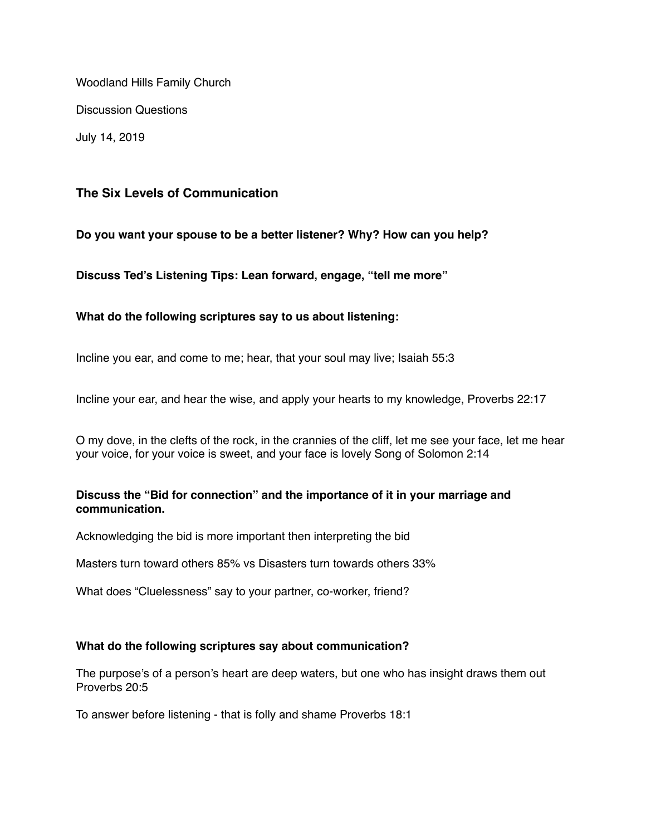Woodland Hills Family Church

Discussion Questions

July 14, 2019

# **The Six Levels of Communication**

**Do you want your spouse to be a better listener? Why? How can you help?**

**Discuss Ted's Listening Tips: Lean forward, engage, "tell me more"**

## **What do the following scriptures say to us about listening:**

Incline you ear, and come to me; hear, that your soul may live; Isaiah 55:3

Incline your ear, and hear the wise, and apply your hearts to my knowledge, Proverbs 22:17

O my dove, in the clefts of the rock, in the crannies of the cliff, let me see your face, let me hear your voice, for your voice is sweet, and your face is lovely Song of Solomon 2:14

### **Discuss the "Bid for connection" and the importance of it in your marriage and communication.**

Acknowledging the bid is more important then interpreting the bid

Masters turn toward others 85% vs Disasters turn towards others 33%

What does "Cluelessness" say to your partner, co-worker, friend?

### **What do the following scriptures say about communication?**

The purpose's of a person's heart are deep waters, but one who has insight draws them out Proverbs 20:5

To answer before listening - that is folly and shame Proverbs 18:1